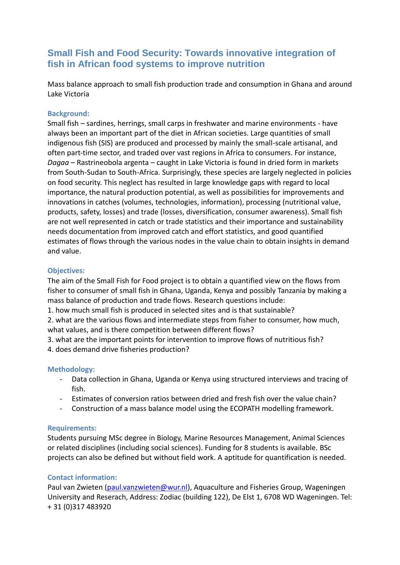# **Small Fish and Food Security: Towards innovative integration of fish in African food systems to improve nutrition**

Mass balance approach to small fish production trade and consumption in Ghana and around Lake Victoria

### **Background:**

Small fish – sardines, herrings, small carps in freshwater and marine environments - have always been an important part of the diet in African societies. Large quantities of small indigenous fish (SIS) are produced and processed by mainly the small-scale artisanal, and often part-time sector, and traded over vast regions in Africa to consumers. For instance, *Dagaa* – Rastrineobola argenta – caught in Lake Victoria is found in dried form in markets from South-Sudan to South-Africa. Surprisingly, these species are largely neglected in policies on food security. This neglect has resulted in large knowledge gaps with regard to local importance, the natural production potential, as well as possibilities for improvements and innovations in catches (volumes, technologies, information), processing (nutritional value, products, safety, losses) and trade (losses, diversification, consumer awareness). Small fish are not well represented in catch or trade statistics and their importance and sustainability needs documentation from improved catch and effort statistics, and good quantified estimates of flows through the various nodes in the value chain to obtain insights in demand and value.

### **Objectives:**

The aim of the Small Fish for Food project is to obtain a quantified view on the flows from fisher to consumer of small fish in Ghana, Uganda, Kenya and possibly Tanzania by making a mass balance of production and trade flows. Research questions include:

1. how much small fish is produced in selected sites and is that sustainable?

2. what are the various flows and intermediate steps from fisher to consumer, how much, what values, and is there competition between different flows?

3. what are the important points for intervention to improve flows of nutritious fish?

4. does demand drive fisheries production?

# **Methodology:**

- Data collection in Ghana, Uganda or Kenya using structured interviews and tracing of fish.
- Estimates of conversion ratios between dried and fresh fish over the value chain?
- Construction of a mass balance model using the ECOPATH modelling framework.

#### **Requirements:**

Students pursuing MSc degree in Biology, Marine Resources Management, Animal Sciences or related disciplines (including social sciences). Funding for 8 students is available. BSc projects can also be defined but without field work. A aptitude for quantification is needed.

# **Contact information:**

Paul van Zwieten [\(paul.vanzwieten@wur.nl\)](mailto:paul.vanzwieten@wur.nl), Aquaculture and Fisheries Group, Wageningen University and Reserach, Address: Zodiac (building 122), De Elst 1, 6708 WD Wageningen. Tel: + 31 (0)317 483920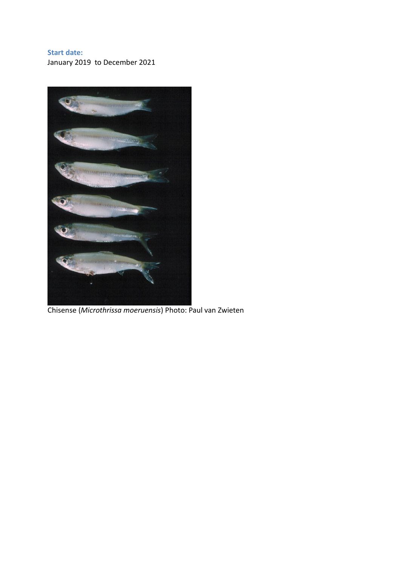## **Start date:**

January 2019 to December 2021



Chisense (*Microthrissa moeruensis*) Photo: Paul van Zwieten